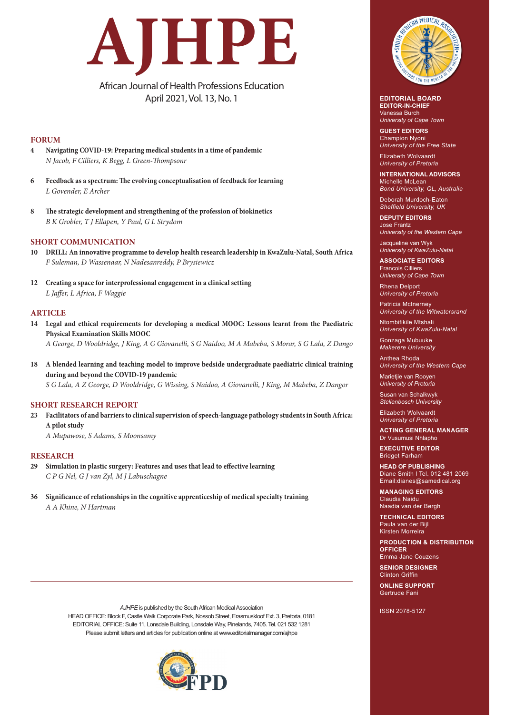# **AJHPE**

African Journal of Health Professions Education April 2021, Vol. 13, No. 1

# **FORUM**

- **4 Navigating COVID-19: Preparing medical students in a time of pandemic**  *N Jacob, F Cilliers, K Begg, L Green-Thompsonr*
- **6 Feedback as a spectrum: The evolving conceptualisation of feedback for learning** *L Govender, E Archer*
- **8 The strategic development and strengthening of the profession of biokinetics** *B K Grobler, T J Ellapen, Y Paul, G L Strydom*

## **SHORT COMMUNICATION**

- **10 DRILL: An innovative programme to develop health research leadership in KwaZulu-Natal, South Africa** *F Suleman, D Wassenaar, N Nadesanreddy, P Brysiewicz*
- **12 Creating a space for interprofessional engagement in a clinical setting**  *L Jaffer, L Africa, F Waggie*

### **ARTICLE**

**14 Legal and ethical requirements for developing a medical MOOC: Lessons learnt from the Paediatric Physical Examination Skills MOOC** 

*A George, D Wooldridge, J King, A G Giovanelli, S G Naidoo, M A Mabeba, S Morar, S G Lala, Z Dango*

**18 A blended learning and teaching model to improve bedside undergraduate paediatric clinical training during and beyond the COVID-19 pandemic** *S G Lala, A Z George, D Wooldridge, G Wissing, S Naidoo, A Giovanelli, J King, M Mabeba, Z Dangor*

### **SHORT RESEARCH REPORT**

**23 Facilitators of and barriers to clinical supervision of speech-language pathology students in South Africa: A pilot study** 

*A Mupawose, S Adams, S Moonsamy*

### **RESEARCH**

- **29 Simulation in plastic surgery: Features and uses that lead to effective learning** *C P G Nel, G J van Zyl, M J Labuschagne*
- **36 Significance of relationships in the cognitive apprenticeship of medical specialty training** *A A Khine, N Hartman*







**EDITORIAL BOARD EDITOR-IN-CHIEF** Vanessa Burch *University of Cape Town*

**GUEST EDITORS** Champion Nyoni *University of the Free State*

Elizabeth Wolvaardt *University of Pretoria*

**INTERNATIONAL ADVISORS** Michelle McLean *Bond University, QL, Australia*

Deborah Murdoch-Eaton *Sheffield University, UK*

## **DEPUTY EDITORS** Jose Frantz *University of the Western Cape*

Jacqueline van Wyk *University of KwaZulu-Natal*

**ASSOCIATE EDITORS** Francois Cilliers *University of Cape Town*

Rhena Delport *University of Pretoria*

Patricia McInerney *University of the Witwatersrand*

Ntombifikile Mtshali *University of KwaZulu-Natal*

Gonzaga Mubuuke *Makerere University*

Anthea Rhoda *University of the Western Cape*

Marietjie van Rooyen *University of Pretoria*

Susan van Schalkwyk *Stellenbosch University*

Elizabeth Wolvaardt *University of Pretoria*

**ACTING GENERAL MANAGER** Dr Vusumusi Nhlapho

**EXECUTIVE EDITOR** Bridget Farham

**HEAD OF PUBLISHING** Diane Smith I Tel. 012 481 2069 Email:dianes@samedical.org

**MANAGING EDITORS** Claudia Naidu Naadia van der Bergh

**TECHNICAL EDITORS** Paula van der Bijl

Kirsten Morreira

**PRODUCTION & DISTRIBUTION OFFICER** 

Emma Jane Couzens **SENIOR DESIGNER** 

Clinton Griffin **ONLINE SUPPORT** Gertrude Fani

ISSN 2078-5127